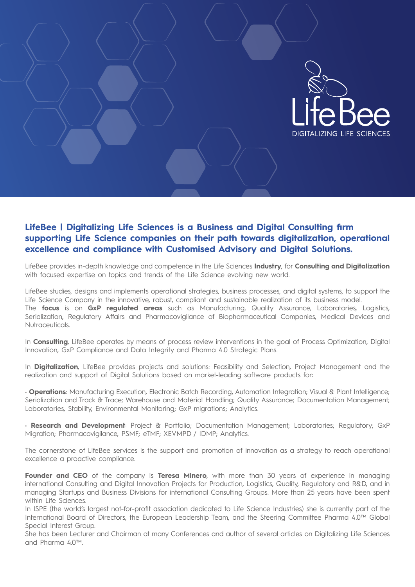

# **LifeBee | Digitalizing Life Sciences is a Business and Digital Consulting firm supporting Life Science companies on their path towards digitalization, operational excellence and compliance with Customised Advisory and Digital Solutions.**

LifeBee provides in-depth knowledge and competence in the Life Sciences **Industry**, for **Consulting and Digitalization**  with focused expertise on topics and trends of the Life Science evolving new world.

LifeBee studies, designs and implements operational strategies, business processes, and digital systems, to support the Life Science Company in the innovative, robust, compliant and sustainable realization of its business model. The **focus** is on **GxP regulated areas** such as Manufacturing, Quality Assurance, Laboratories, Logistics, Serialization, Regulatory Affairs and Pharmacovigilance of Biopharmaceutical Companies, Medical Devices and Nutraceuticals.

In **Consulting**, LifeBee operates by means of process review interventions in the goal of Process Optimization, Digital Innovation, GxP Compliance and Data Integrity and Pharma 4.0 Strategic Plans.

In **Digitalization**, LifeBee provides projects and solutions: Feasibility and Selection, Project Management and the realization and support of Digital Solutions based on market-leading software products for:

• **Operations**: Manufacturing Execution, Electronic Batch Recording, Automation Integration; Visual & Plant Intelligence; Serialization and Track & Trace; Warehouse and Material Handling; Quality Assurance; Documentation Management; Laboratories, Stability, Environmental Monitoring; GxP migrations; Analytics.

• **Research and Development**: Project & Portfolio; Documentation Management; Laboratories; Regulatory; GxP Migration; Pharmacovigilance, PSMF; eTMF; XEVMPD / IDMP; Analytics.

The cornerstone of LifeBee services is the support and promotion of innovation as a strategy to reach operational excellence a proactive compliance.

**Founder and CEO** of the company is **Teresa Minero**, with more than 30 years of experience in managing international Consulting and Digital Innovation Projects for Production, Logistics, Quality, Regulatory and R&D, and in managing Startups and Business Divisions for international Consulting Groups. More than 25 years have been spent within Life Sciences.

In ISPE (the world's largest not-for-profit association dedicated to Life Science Industries) she is currently part of the International Board of Directors, the European Leadership Team, and the Steering Committee Pharma 4.0™ Global Special Interest Group.

She has been Lecturer and Chairman at many Conferences and author of several articles on Digitalizing Life Sciences and Pharma 4.0™.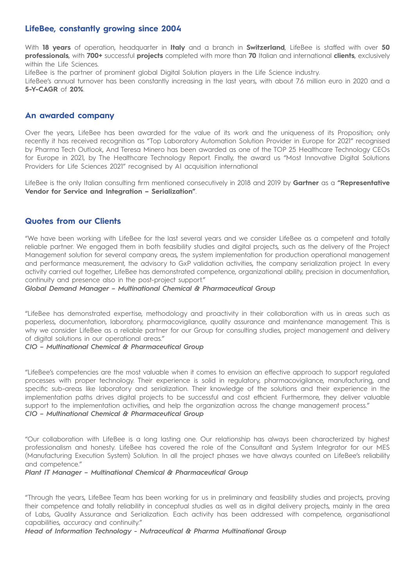## **LifeBee, constantly growing since 2004**

With **18 years** of operation, headquarter in **Italy** and a branch in **Switzerland**, LifeBee is staffed with over **50 professionals**, with **700+** successful **projects** completed with more than **70** Italian and international **clients**, exclusively within the Life Sciences.

LifeBee is the partner of prominent global Digital Solution players in the Life Science industry.

LifeBee's annual turnover has been constantly increasing in the last years, with about 7.6 million euro in 2020 and a **5-Y-CAGR** of **20%**.

### **An awarded company**

Over the years, LifeBee has been awarded for the value of its work and the uniqueness of its Proposition; only recently it has received recognition as "Top Laboratory Automation Solution Provider in Europe for 2021" recognised by Pharma Tech Outlook, And Teresa Minero has been awarded as one of the TOP 25 Healthcare Technology CEOs for Europe in 2021, by The Healthcare Technology Report. Finally, the award us "Most Innovative Digital Solutions Providers for Life Sciences 2021" recognised by AI acquisition international

LifeBee is the only Italian consulting firm mentioned consecutively in 2018 and 2019 by **Gartner** as a **"Representative Vendor for Service and Integration – Serialization"**.

## **Quotes from our Clients**

"We have been working with LifeBee for the last several years and we consider LifeBee as a competent and totally reliable partner. We engaged them in both feasibility studies and digital projects, such as the delivery of the Project Management solution for several company areas, the system implementation for production operational management and performance measurement, the advisory to GxP validation activities, the company serialization project. In every activity carried out together, LifeBee has demonstrated competence, organizational ability, precision in documentation, continuity and presence also in the post-project support."

*Global Demand Manager – Multinational Chemical & Pharmaceutical Group*

"LifeBee has demonstrated expertise, methodology and proactivity in their collaboration with us in areas such as paperless, documentation, laboratory, pharmacovigilance, quality assurance and maintenance management. This is why we consider LifeBee as a reliable partner for our Group for consulting studies, project management and delivery of digital solutions in our operational areas."

#### *CIO – Multinational Chemical & Pharmaceutical Group*

"LifeBee's competencies are the most valuable when it comes to envision an effective approach to support regulated processes with proper technology. Their experience is solid in regulatory, pharmacovigilance, manufacturing, and specific sub-areas like laboratory and serialization. Their knowledge of the solutions and their experience in the implementation paths drives digital projects to be successful and cost efficient. Furthermore, they deliver valuable support to the implementation activities, and help the organization across the change management process." *CIO – Multinational Chemical & Pharmaceutical Group*

"Our collaboration with LifeBee is a long lasting one. Our relationship has always been characterized by highest professionalism and honesty. LifeBee has covered the role of the Consultant and System Integrator for our MES (Manufacturing Execution System) Solution. In all the project phases we have always counted on LifeBee's reliability and competence."

#### *Plant IT Manager – Multinational Chemical & Pharmaceutical Group*

"Through the years, LifeBee Team has been working for us in preliminary and feasibility studies and projects, proving their competence and totally reliability in conceptual studies as well as in digital delivery projects, mainly in the area of Labs, Quality Assurance and Serialization. Each activity has been addressed with competence, organisational capabilities, accuracy and continuity."

*Head of Information Technology - Nutraceutical & Pharma Multinational Group*